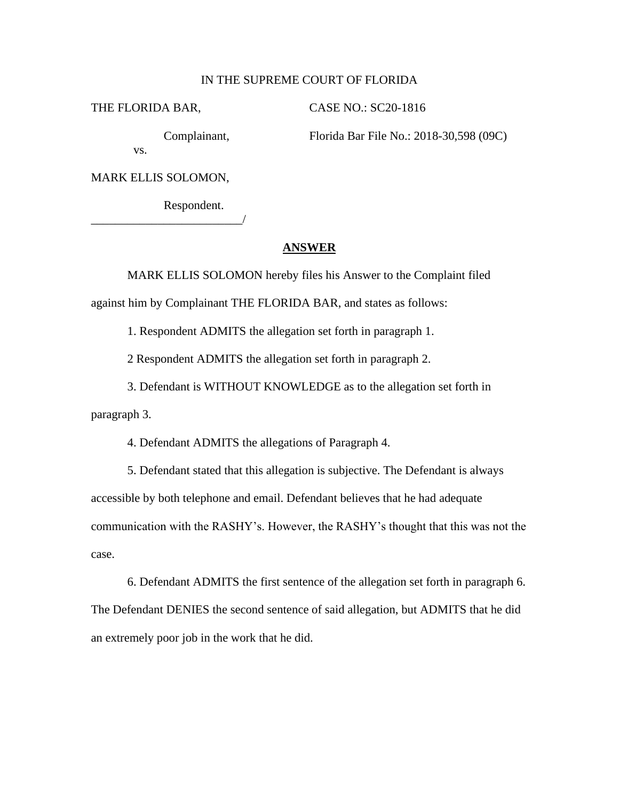## IN THE SUPREME COURT OF FLORIDA

THE FLORIDA BAR, CASE NO.: SC20-1816

Complainant, Florida Bar File No.: 2018-30,598 (09C) vs.

MARK ELLIS SOLOMON,

\_\_\_\_\_\_\_\_\_\_\_\_\_\_\_\_\_\_\_\_\_\_\_\_\_/

Respondent.

## **ANSWER**

MARK ELLIS SOLOMON hereby files his Answer to the Complaint filed against him by Complainant THE FLORIDA BAR, and states as follows:

1. Respondent ADMITS the allegation set forth in paragraph 1.

2 Respondent ADMITS the allegation set forth in paragraph 2.

3. Defendant is WITHOUT KNOWLEDGE as to the allegation set forth in paragraph 3.

4. Defendant ADMITS the allegations of Paragraph 4.

5. Defendant stated that this allegation is subjective. The Defendant is always accessible by both telephone and email. Defendant believes that he had adequate communication with the RASHY's. However, the RASHY's thought that this was not the case.

6. Defendant ADMITS the first sentence of the allegation set forth in paragraph 6. The Defendant DENIES the second sentence of said allegation, but ADMITS that he did an extremely poor job in the work that he did.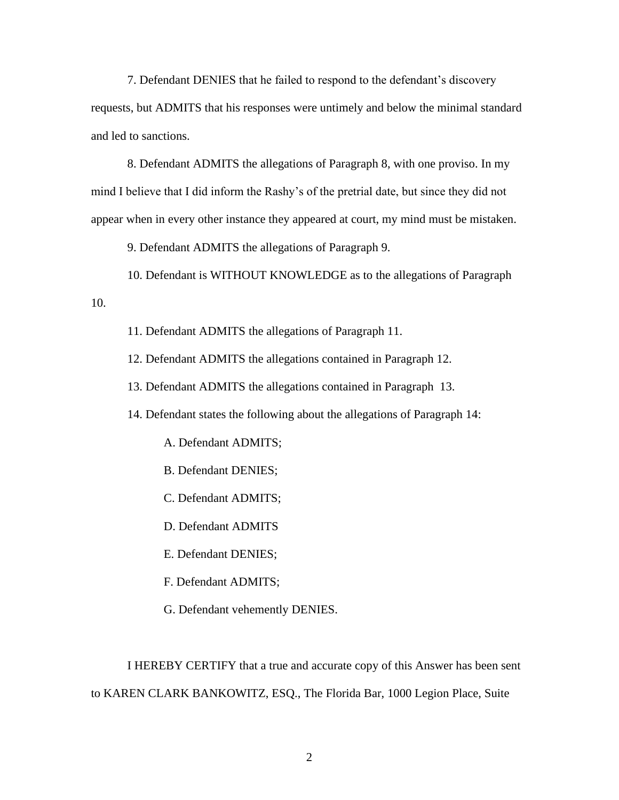7. Defendant DENIES that he failed to respond to the defendant's discovery requests, but ADMITS that his responses were untimely and below the minimal standard and led to sanctions.

8. Defendant ADMITS the allegations of Paragraph 8, with one proviso. In my mind I believe that I did inform the Rashy's of the pretrial date, but since they did not appear when in every other instance they appeared at court, my mind must be mistaken.

9. Defendant ADMITS the allegations of Paragraph 9.

10. Defendant is WITHOUT KNOWLEDGE as to the allegations of Paragraph 10.

11. Defendant ADMITS the allegations of Paragraph 11.

12. Defendant ADMITS the allegations contained in Paragraph 12.

13. Defendant ADMITS the allegations contained in Paragraph 13.

14. Defendant states the following about the allegations of Paragraph 14:

A. Defendant ADMITS;

B. Defendant DENIES;

C. Defendant ADMITS;

D. Defendant ADMITS

E. Defendant DENIES;

F. Defendant ADMITS;

G. Defendant vehemently DENIES.

I HEREBY CERTIFY that a true and accurate copy of this Answer has been sent to KAREN CLARK BANKOWITZ, ESQ., The Florida Bar, 1000 Legion Place, Suite